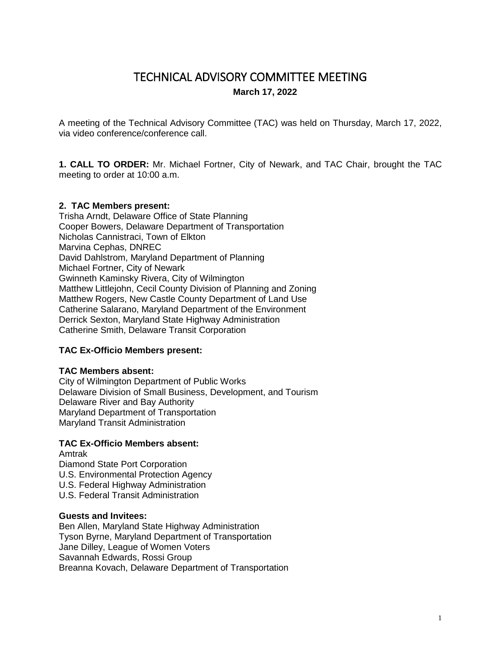# TECHNICAL ADVISORY COMMITTEE MEETING **March 17, 2022**

A meeting of the Technical Advisory Committee (TAC) was held on Thursday, March 17, 2022, via video conference/conference call.

**1. CALL TO ORDER:** Mr. Michael Fortner, City of Newark, and TAC Chair, brought the TAC meeting to order at 10:00 a.m.

### **2. TAC Members present:**

Trisha Arndt, Delaware Office of State Planning Cooper Bowers, Delaware Department of Transportation Nicholas Cannistraci, Town of Elkton Marvina Cephas, DNREC David Dahlstrom, Maryland Department of Planning Michael Fortner, City of Newark Gwinneth Kaminsky Rivera, City of Wilmington Matthew Littlejohn, Cecil County Division of Planning and Zoning Matthew Rogers, New Castle County Department of Land Use Catherine Salarano, Maryland Department of the Environment Derrick Sexton, Maryland State Highway Administration Catherine Smith, Delaware Transit Corporation

#### **TAC Ex-Officio Members present:**

#### **TAC Members absent:**

City of Wilmington Department of Public Works Delaware Division of Small Business, Development, and Tourism Delaware River and Bay Authority Maryland Department of Transportation Maryland Transit Administration

#### **TAC Ex-Officio Members absent:**

Amtrak Diamond State Port Corporation U.S. Environmental Protection Agency U.S. Federal Highway Administration U.S. Federal Transit Administration

#### **Guests and Invitees:**

Ben Allen, Maryland State Highway Administration Tyson Byrne, Maryland Department of Transportation Jane Dilley, League of Women Voters Savannah Edwards, Rossi Group Breanna Kovach, Delaware Department of Transportation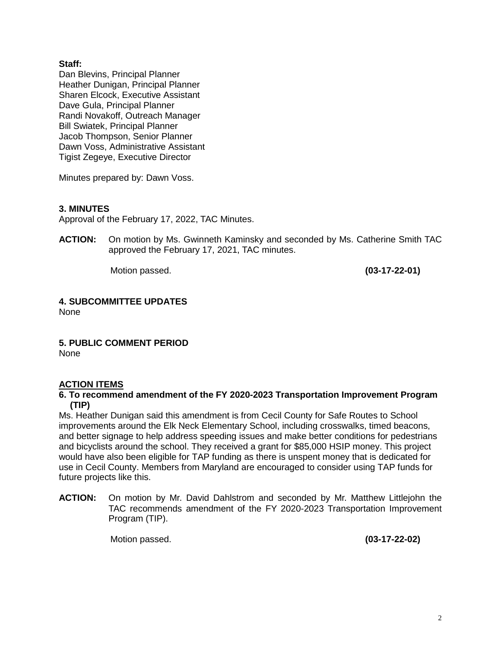# **Staff:**

Dan Blevins, Principal Planner Heather Dunigan, Principal Planner Sharen Elcock, Executive Assistant Dave Gula, Principal Planner Randi Novakoff, Outreach Manager Bill Swiatek, Principal Planner Jacob Thompson, Senior Planner Dawn Voss, Administrative Assistant Tigist Zegeye, Executive Director

Minutes prepared by: Dawn Voss.

# **3. MINUTES**

Approval of the February 17, 2022, TAC Minutes.

**ACTION:** On motion by Ms. Gwinneth Kaminsky and seconded by Ms. Catherine Smith TAC approved the February 17, 2021, TAC minutes.

Motion passed. **(03-17-22-01)**

# **4. SUBCOMMITTEE UPDATES**

None

**5. PUBLIC COMMENT PERIOD** None

# **ACTION ITEMS**

#### **6. To recommend amendment of the FY 2020-2023 Transportation Improvement Program (TIP)**

Ms. Heather Dunigan said this amendment is from Cecil County for Safe Routes to School improvements around the Elk Neck Elementary School, including crosswalks, timed beacons, and better signage to help address speeding issues and make better conditions for pedestrians and bicyclists around the school. They received a grant for \$85,000 HSIP money. This project would have also been eligible for TAP funding as there is unspent money that is dedicated for use in Cecil County. Members from Maryland are encouraged to consider using TAP funds for future projects like this.

**ACTION:** On motion by Mr. David Dahlstrom and seconded by Mr. Matthew Littlejohn the TAC recommends amendment of the FY 2020-2023 Transportation Improvement Program (TIP).

Motion passed. **(03-17-22-02)**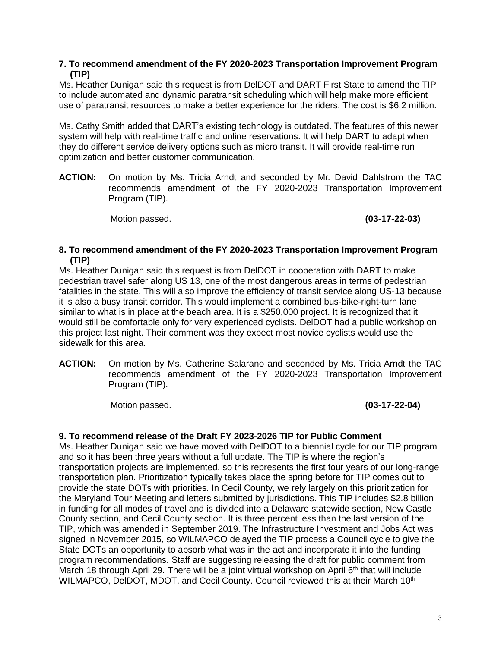### **7. To recommend amendment of the FY 2020-2023 Transportation Improvement Program (TIP)**

Ms. Heather Dunigan said this request is from DelDOT and DART First State to amend the TIP to include automated and dynamic paratransit scheduling which will help make more efficient use of paratransit resources to make a better experience for the riders. The cost is \$6.2 million.

Ms. Cathy Smith added that DART's existing technology is outdated. The features of this newer system will help with real-time traffic and online reservations. It will help DART to adapt when they do different service delivery options such as micro transit. It will provide real-time run optimization and better customer communication.

**ACTION:** On motion by Ms. Tricia Arndt and seconded by Mr. David Dahlstrom the TAC recommends amendment of the FY 2020-2023 Transportation Improvement Program (TIP).

Motion passed. **(03-17-22-03)**

### **8. To recommend amendment of the FY 2020-2023 Transportation Improvement Program (TIP)**

Ms. Heather Dunigan said this request is from DelDOT in cooperation with DART to make pedestrian travel safer along US 13, one of the most dangerous areas in terms of pedestrian fatalities in the state. This will also improve the efficiency of transit service along US-13 because it is also a busy transit corridor. This would implement a combined bus-bike-right-turn lane similar to what is in place at the beach area. It is a \$250,000 project. It is recognized that it would still be comfortable only for very experienced cyclists. DelDOT had a public workshop on this project last night. Their comment was they expect most novice cyclists would use the sidewalk for this area.

**ACTION:** On motion by Ms. Catherine Salarano and seconded by Ms. Tricia Arndt the TAC recommends amendment of the FY 2020-2023 Transportation Improvement Program (TIP).

Motion passed. **(03-17-22-04)**

# **9. To recommend release of the Draft FY 2023-2026 TIP for Public Comment**

Ms. Heather Dunigan said we have moved with DelDOT to a biennial cycle for our TIP program and so it has been three years without a full update. The TIP is where the region's transportation projects are implemented, so this represents the first four years of our long-range transportation plan. Prioritization typically takes place the spring before for TIP comes out to provide the state DOTs with priorities. In Cecil County, we rely largely on this prioritization for the Maryland Tour Meeting and letters submitted by jurisdictions. This TIP includes \$2.8 billion in funding for all modes of travel and is divided into a Delaware statewide section, New Castle County section, and Cecil County section. It is three percent less than the last version of the TIP, which was amended in September 2019. The Infrastructure Investment and Jobs Act was signed in November 2015, so WILMAPCO delayed the TIP process a Council cycle to give the State DOTs an opportunity to absorb what was in the act and incorporate it into the funding program recommendations. Staff are suggesting releasing the draft for public comment from March 18 through April 29. There will be a joint virtual workshop on April  $6<sup>th</sup>$  that will include WILMAPCO, DeIDOT, MDOT, and Cecil County. Council reviewed this at their March 10<sup>th</sup>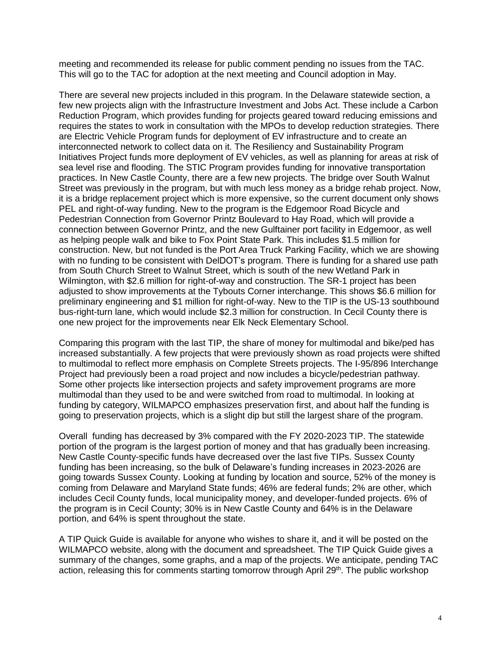meeting and recommended its release for public comment pending no issues from the TAC. This will go to the TAC for adoption at the next meeting and Council adoption in May.

There are several new projects included in this program. In the Delaware statewide section, a few new projects align with the Infrastructure Investment and Jobs Act. These include a Carbon Reduction Program, which provides funding for projects geared toward reducing emissions and requires the states to work in consultation with the MPOs to develop reduction strategies. There are Electric Vehicle Program funds for deployment of EV infrastructure and to create an interconnected network to collect data on it. The Resiliency and Sustainability Program Initiatives Project funds more deployment of EV vehicles, as well as planning for areas at risk of sea level rise and flooding. The STIC Program provides funding for innovative transportation practices. In New Castle County, there are a few new projects. The bridge over South Walnut Street was previously in the program, but with much less money as a bridge rehab project. Now, it is a bridge replacement project which is more expensive, so the current document only shows PEL and right-of-way funding. New to the program is the Edgemoor Road Bicycle and Pedestrian Connection from Governor Printz Boulevard to Hay Road, which will provide a connection between Governor Printz, and the new Gulftainer port facility in Edgemoor, as well as helping people walk and bike to Fox Point State Park. This includes \$1.5 million for construction. New, but not funded is the Port Area Truck Parking Facility, which we are showing with no funding to be consistent with DelDOT's program. There is funding for a shared use path from South Church Street to Walnut Street, which is south of the new Wetland Park in Wilmington, with \$2.6 million for right-of-way and construction. The SR-1 project has been adjusted to show improvements at the Tybouts Corner interchange. This shows \$6.6 million for preliminary engineering and \$1 million for right-of-way. New to the TIP is the US-13 southbound bus-right-turn lane, which would include \$2.3 million for construction. In Cecil County there is one new project for the improvements near Elk Neck Elementary School.

Comparing this program with the last TIP, the share of money for multimodal and bike/ped has increased substantially. A few projects that were previously shown as road projects were shifted to multimodal to reflect more emphasis on Complete Streets projects. The I-95/896 Interchange Project had previously been a road project and now includes a bicycle/pedestrian pathway. Some other projects like intersection projects and safety improvement programs are more multimodal than they used to be and were switched from road to multimodal. In looking at funding by category, WILMAPCO emphasizes preservation first, and about half the funding is going to preservation projects, which is a slight dip but still the largest share of the program.

Overall funding has decreased by 3% compared with the FY 2020-2023 TIP. The statewide portion of the program is the largest portion of money and that has gradually been increasing. New Castle County-specific funds have decreased over the last five TIPs. Sussex County funding has been increasing, so the bulk of Delaware's funding increases in 2023-2026 are going towards Sussex County. Looking at funding by location and source, 52% of the money is coming from Delaware and Maryland State funds; 46% are federal funds; 2% are other, which includes Cecil County funds, local municipality money, and developer-funded projects. 6% of the program is in Cecil County; 30% is in New Castle County and 64% is in the Delaware portion, and 64% is spent throughout the state.

A TIP Quick Guide is available for anyone who wishes to share it, and it will be posted on the WILMAPCO website, along with the document and spreadsheet. The TIP Quick Guide gives a summary of the changes, some graphs, and a map of the projects. We anticipate, pending TAC action, releasing this for comments starting tomorrow through April 29<sup>th</sup>. The public workshop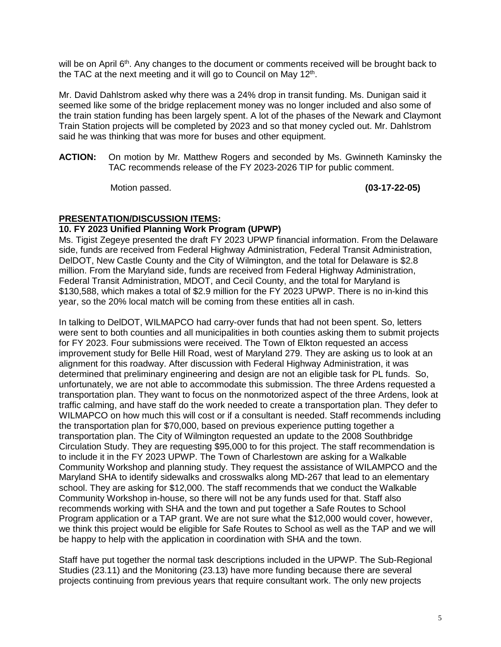will be on April 6<sup>th</sup>. Any changes to the document or comments received will be brought back to the TAC at the next meeting and it will go to Council on May 12<sup>th</sup>.

Mr. David Dahlstrom asked why there was a 24% drop in transit funding. Ms. Dunigan said it seemed like some of the bridge replacement money was no longer included and also some of the train station funding has been largely spent. A lot of the phases of the Newark and Claymont Train Station projects will be completed by 2023 and so that money cycled out. Mr. Dahlstrom said he was thinking that was more for buses and other equipment.

**ACTION:** On motion by Mr. Matthew Rogers and seconded by Ms. Gwinneth Kaminsky the TAC recommends release of the FY 2023-2026 TIP for public comment.

Motion passed. **(03-17-22-05)**

# **PRESENTATION/DISCUSSION ITEMS:**

# **10. FY 2023 Unified Planning Work Program (UPWP)**

Ms. Tigist Zegeye presented the draft FY 2023 UPWP financial information. From the Delaware side, funds are received from Federal Highway Administration, Federal Transit Administration, DelDOT, New Castle County and the City of Wilmington, and the total for Delaware is \$2.8 million. From the Maryland side, funds are received from Federal Highway Administration, Federal Transit Administration, MDOT, and Cecil County, and the total for Maryland is \$130,588, which makes a total of \$2.9 million for the FY 2023 UPWP. There is no in-kind this year, so the 20% local match will be coming from these entities all in cash.

In talking to DelDOT, WILMAPCO had carry-over funds that had not been spent. So, letters were sent to both counties and all municipalities in both counties asking them to submit projects for FY 2023. Four submissions were received. The Town of Elkton requested an access improvement study for Belle Hill Road, west of Maryland 279. They are asking us to look at an alignment for this roadway. After discussion with Federal Highway Administration, it was determined that preliminary engineering and design are not an eligible task for PL funds. So, unfortunately, we are not able to accommodate this submission. The three Ardens requested a transportation plan. They want to focus on the nonmotorized aspect of the three Ardens, look at traffic calming, and have staff do the work needed to create a transportation plan. They defer to WILMAPCO on how much this will cost or if a consultant is needed. Staff recommends including the transportation plan for \$70,000, based on previous experience putting together a transportation plan. The City of Wilmington requested an update to the 2008 Southbridge Circulation Study. They are requesting \$95,000 to for this project. The staff recommendation is to include it in the FY 2023 UPWP. The Town of Charlestown are asking for a Walkable Community Workshop and planning study. They request the assistance of WILAMPCO and the Maryland SHA to identify sidewalks and crosswalks along MD-267 that lead to an elementary school. They are asking for \$12,000. The staff recommends that we conduct the Walkable Community Workshop in-house, so there will not be any funds used for that. Staff also recommends working with SHA and the town and put together a Safe Routes to School Program application or a TAP grant. We are not sure what the \$12,000 would cover, however, we think this project would be eligible for Safe Routes to School as well as the TAP and we will be happy to help with the application in coordination with SHA and the town.

Staff have put together the normal task descriptions included in the UPWP. The Sub-Regional Studies (23.11) and the Monitoring (23.13) have more funding because there are several projects continuing from previous years that require consultant work. The only new projects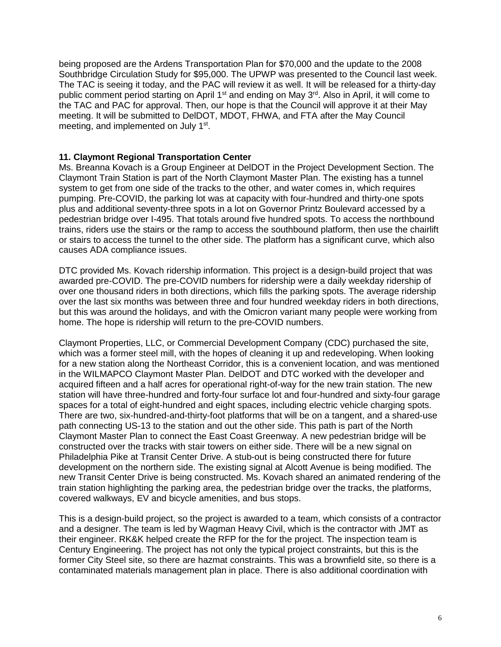being proposed are the Ardens Transportation Plan for \$70,000 and the update to the 2008 Southbridge Circulation Study for \$95,000. The UPWP was presented to the Council last week. The TAC is seeing it today, and the PAC will review it as well. It will be released for a thirty-day public comment period starting on April 1<sup>st</sup> and ending on May 3<sup>rd</sup>. Also in April, it will come to the TAC and PAC for approval. Then, our hope is that the Council will approve it at their May meeting. It will be submitted to DelDOT, MDOT, FHWA, and FTA after the May Council meeting, and implemented on July 1<sup>st</sup>.

### **11. Claymont Regional Transportation Center**

Ms. Breanna Kovach is a Group Engineer at DelDOT in the Project Development Section. The Claymont Train Station is part of the North Claymont Master Plan. The existing has a tunnel system to get from one side of the tracks to the other, and water comes in, which requires pumping. Pre-COVID, the parking lot was at capacity with four-hundred and thirty-one spots plus and additional seventy-three spots in a lot on Governor Printz Boulevard accessed by a pedestrian bridge over I-495. That totals around five hundred spots. To access the northbound trains, riders use the stairs or the ramp to access the southbound platform, then use the chairlift or stairs to access the tunnel to the other side. The platform has a significant curve, which also causes ADA compliance issues.

DTC provided Ms. Kovach ridership information. This project is a design-build project that was awarded pre-COVID. The pre-COVID numbers for ridership were a daily weekday ridership of over one thousand riders in both directions, which fills the parking spots. The average ridership over the last six months was between three and four hundred weekday riders in both directions, but this was around the holidays, and with the Omicron variant many people were working from home. The hope is ridership will return to the pre-COVID numbers.

Claymont Properties, LLC, or Commercial Development Company (CDC) purchased the site, which was a former steel mill, with the hopes of cleaning it up and redeveloping. When looking for a new station along the Northeast Corridor, this is a convenient location, and was mentioned in the WILMAPCO Claymont Master Plan. DelDOT and DTC worked with the developer and acquired fifteen and a half acres for operational right-of-way for the new train station. The new station will have three-hundred and forty-four surface lot and four-hundred and sixty-four garage spaces for a total of eight-hundred and eight spaces, including electric vehicle charging spots. There are two, six-hundred-and-thirty-foot platforms that will be on a tangent, and a shared-use path connecting US-13 to the station and out the other side. This path is part of the North Claymont Master Plan to connect the East Coast Greenway. A new pedestrian bridge will be constructed over the tracks with stair towers on either side. There will be a new signal on Philadelphia Pike at Transit Center Drive. A stub-out is being constructed there for future development on the northern side. The existing signal at Alcott Avenue is being modified. The new Transit Center Drive is being constructed. Ms. Kovach shared an animated rendering of the train station highlighting the parking area, the pedestrian bridge over the tracks, the platforms, covered walkways, EV and bicycle amenities, and bus stops.

This is a design-build project, so the project is awarded to a team, which consists of a contractor and a designer. The team is led by Wagman Heavy Civil, which is the contractor with JMT as their engineer. RK&K helped create the RFP for the for the project. The inspection team is Century Engineering. The project has not only the typical project constraints, but this is the former City Steel site, so there are hazmat constraints. This was a brownfield site, so there is a contaminated materials management plan in place. There is also additional coordination with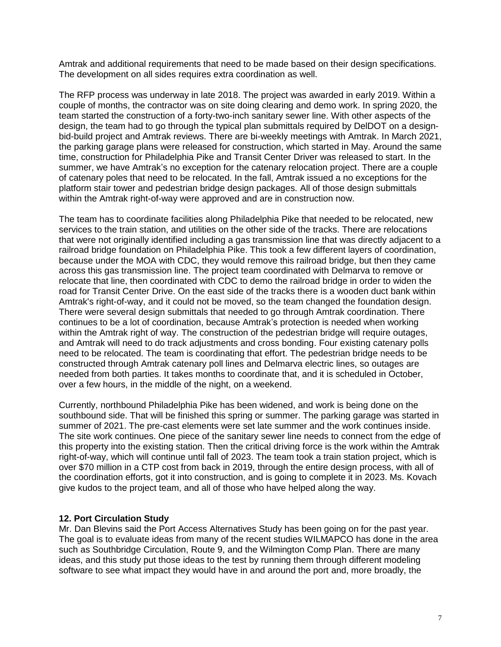Amtrak and additional requirements that need to be made based on their design specifications. The development on all sides requires extra coordination as well.

The RFP process was underway in late 2018. The project was awarded in early 2019. Within a couple of months, the contractor was on site doing clearing and demo work. In spring 2020, the team started the construction of a forty-two-inch sanitary sewer line. With other aspects of the design, the team had to go through the typical plan submittals required by DelDOT on a designbid-build project and Amtrak reviews. There are bi-weekly meetings with Amtrak. In March 2021, the parking garage plans were released for construction, which started in May. Around the same time, construction for Philadelphia Pike and Transit Center Driver was released to start. In the summer, we have Amtrak's no exception for the catenary relocation project. There are a couple of catenary poles that need to be relocated. In the fall, Amtrak issued a no exceptions for the platform stair tower and pedestrian bridge design packages. All of those design submittals within the Amtrak right-of-way were approved and are in construction now.

The team has to coordinate facilities along Philadelphia Pike that needed to be relocated, new services to the train station, and utilities on the other side of the tracks. There are relocations that were not originally identified including a gas transmission line that was directly adjacent to a railroad bridge foundation on Philadelphia Pike. This took a few different layers of coordination, because under the MOA with CDC, they would remove this railroad bridge, but then they came across this gas transmission line. The project team coordinated with Delmarva to remove or relocate that line, then coordinated with CDC to demo the railroad bridge in order to widen the road for Transit Center Drive. On the east side of the tracks there is a wooden duct bank within Amtrak's right-of-way, and it could not be moved, so the team changed the foundation design. There were several design submittals that needed to go through Amtrak coordination. There continues to be a lot of coordination, because Amtrak's protection is needed when working within the Amtrak right of way. The construction of the pedestrian bridge will require outages, and Amtrak will need to do track adjustments and cross bonding. Four existing catenary polls need to be relocated. The team is coordinating that effort. The pedestrian bridge needs to be constructed through Amtrak catenary poll lines and Delmarva electric lines, so outages are needed from both parties. It takes months to coordinate that, and it is scheduled in October, over a few hours, in the middle of the night, on a weekend.

Currently, northbound Philadelphia Pike has been widened, and work is being done on the southbound side. That will be finished this spring or summer. The parking garage was started in summer of 2021. The pre-cast elements were set late summer and the work continues inside. The site work continues. One piece of the sanitary sewer line needs to connect from the edge of this property into the existing station. Then the critical driving force is the work within the Amtrak right-of-way, which will continue until fall of 2023. The team took a train station project, which is over \$70 million in a CTP cost from back in 2019, through the entire design process, with all of the coordination efforts, got it into construction, and is going to complete it in 2023. Ms. Kovach give kudos to the project team, and all of those who have helped along the way.

#### **12. Port Circulation Study**

Mr. Dan Blevins said the Port Access Alternatives Study has been going on for the past year. The goal is to evaluate ideas from many of the recent studies WILMAPCO has done in the area such as Southbridge Circulation, Route 9, and the Wilmington Comp Plan. There are many ideas, and this study put those ideas to the test by running them through different modeling software to see what impact they would have in and around the port and, more broadly, the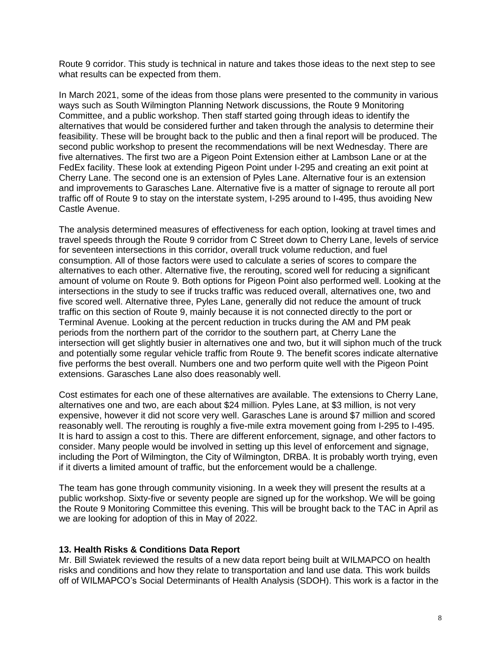Route 9 corridor. This study is technical in nature and takes those ideas to the next step to see what results can be expected from them.

In March 2021, some of the ideas from those plans were presented to the community in various ways such as South Wilmington Planning Network discussions, the Route 9 Monitoring Committee, and a public workshop. Then staff started going through ideas to identify the alternatives that would be considered further and taken through the analysis to determine their feasibility. These will be brought back to the public and then a final report will be produced. The second public workshop to present the recommendations will be next Wednesday. There are five alternatives. The first two are a Pigeon Point Extension either at Lambson Lane or at the FedEx facility. These look at extending Pigeon Point under I-295 and creating an exit point at Cherry Lane. The second one is an extension of Pyles Lane. Alternative four is an extension and improvements to Garasches Lane. Alternative five is a matter of signage to reroute all port traffic off of Route 9 to stay on the interstate system, I-295 around to I-495, thus avoiding New Castle Avenue.

The analysis determined measures of effectiveness for each option, looking at travel times and travel speeds through the Route 9 corridor from C Street down to Cherry Lane, levels of service for seventeen intersections in this corridor, overall truck volume reduction, and fuel consumption. All of those factors were used to calculate a series of scores to compare the alternatives to each other. Alternative five, the rerouting, scored well for reducing a significant amount of volume on Route 9. Both options for Pigeon Point also performed well. Looking at the intersections in the study to see if trucks traffic was reduced overall, alternatives one, two and five scored well. Alternative three, Pyles Lane, generally did not reduce the amount of truck traffic on this section of Route 9, mainly because it is not connected directly to the port or Terminal Avenue. Looking at the percent reduction in trucks during the AM and PM peak periods from the northern part of the corridor to the southern part, at Cherry Lane the intersection will get slightly busier in alternatives one and two, but it will siphon much of the truck and potentially some regular vehicle traffic from Route 9. The benefit scores indicate alternative five performs the best overall. Numbers one and two perform quite well with the Pigeon Point extensions. Garasches Lane also does reasonably well.

Cost estimates for each one of these alternatives are available. The extensions to Cherry Lane, alternatives one and two, are each about \$24 million. Pyles Lane, at \$3 million, is not very expensive, however it did not score very well. Garasches Lane is around \$7 million and scored reasonably well. The rerouting is roughly a five-mile extra movement going from I-295 to I-495. It is hard to assign a cost to this. There are different enforcement, signage, and other factors to consider. Many people would be involved in setting up this level of enforcement and signage, including the Port of Wilmington, the City of Wilmington, DRBA. It is probably worth trying, even if it diverts a limited amount of traffic, but the enforcement would be a challenge.

The team has gone through community visioning. In a week they will present the results at a public workshop. Sixty-five or seventy people are signed up for the workshop. We will be going the Route 9 Monitoring Committee this evening. This will be brought back to the TAC in April as we are looking for adoption of this in May of 2022.

#### **13. Health Risks & Conditions Data Report**

Mr. Bill Swiatek reviewed the results of a new data report being built at WILMAPCO on health risks and conditions and how they relate to transportation and land use data. This work builds off of WILMAPCO's Social Determinants of Health Analysis (SDOH). This work is a factor in the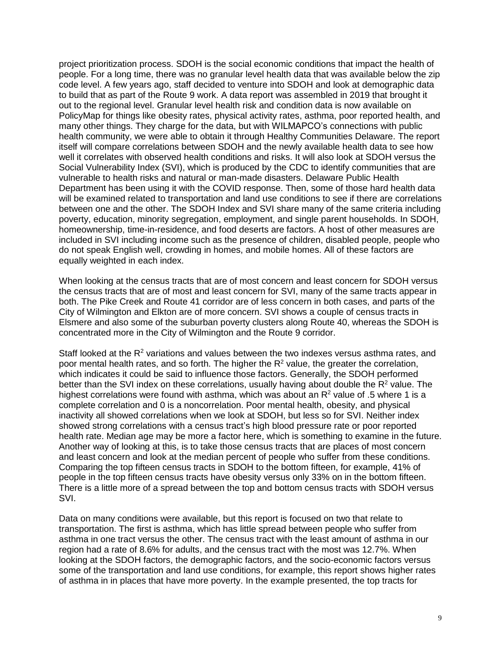project prioritization process. SDOH is the social economic conditions that impact the health of people. For a long time, there was no granular level health data that was available below the zip code level. A few years ago, staff decided to venture into SDOH and look at demographic data to build that as part of the Route 9 work. A data report was assembled in 2019 that brought it out to the regional level. Granular level health risk and condition data is now available on PolicyMap for things like obesity rates, physical activity rates, asthma, poor reported health, and many other things. They charge for the data, but with WILMAPCO's connections with public health community, we were able to obtain it through Healthy Communities Delaware. The report itself will compare correlations between SDOH and the newly available health data to see how well it correlates with observed health conditions and risks. It will also look at SDOH versus the Social Vulnerability Index (SVI), which is produced by the CDC to identify communities that are vulnerable to health risks and natural or man-made disasters. Delaware Public Health Department has been using it with the COVID response. Then, some of those hard health data will be examined related to transportation and land use conditions to see if there are correlations between one and the other. The SDOH Index and SVI share many of the same criteria including poverty, education, minority segregation, employment, and single parent households. In SDOH, homeownership, time-in-residence, and food deserts are factors. A host of other measures are included in SVI including income such as the presence of children, disabled people, people who do not speak English well, crowding in homes, and mobile homes. All of these factors are equally weighted in each index.

When looking at the census tracts that are of most concern and least concern for SDOH versus the census tracts that are of most and least concern for SVI, many of the same tracts appear in both. The Pike Creek and Route 41 corridor are of less concern in both cases, and parts of the City of Wilmington and Elkton are of more concern. SVI shows a couple of census tracts in Elsmere and also some of the suburban poverty clusters along Route 40, whereas the SDOH is concentrated more in the City of Wilmington and the Route 9 corridor.

Staff looked at the  $R^2$  variations and values between the two indexes versus asthma rates, and poor mental health rates, and so forth. The higher the  $R<sup>2</sup>$  value, the greater the correlation, which indicates it could be said to influence those factors. Generally, the SDOH performed better than the SVI index on these correlations, usually having about double the  $R<sup>2</sup>$  value. The highest correlations were found with asthma, which was about an  $R<sup>2</sup>$  value of .5 where 1 is a complete correlation and 0 is a noncorrelation. Poor mental health, obesity, and physical inactivity all showed correlations when we look at SDOH, but less so for SVI. Neither index showed strong correlations with a census tract's high blood pressure rate or poor reported health rate. Median age may be more a factor here, which is something to examine in the future. Another way of looking at this, is to take those census tracts that are places of most concern and least concern and look at the median percent of people who suffer from these conditions. Comparing the top fifteen census tracts in SDOH to the bottom fifteen, for example, 41% of people in the top fifteen census tracts have obesity versus only 33% on in the bottom fifteen. There is a little more of a spread between the top and bottom census tracts with SDOH versus SVI.

Data on many conditions were available, but this report is focused on two that relate to transportation. The first is asthma, which has little spread between people who suffer from asthma in one tract versus the other. The census tract with the least amount of asthma in our region had a rate of 8.6% for adults, and the census tract with the most was 12.7%. When looking at the SDOH factors, the demographic factors, and the socio-economic factors versus some of the transportation and land use conditions, for example, this report shows higher rates of asthma in in places that have more poverty. In the example presented, the top tracts for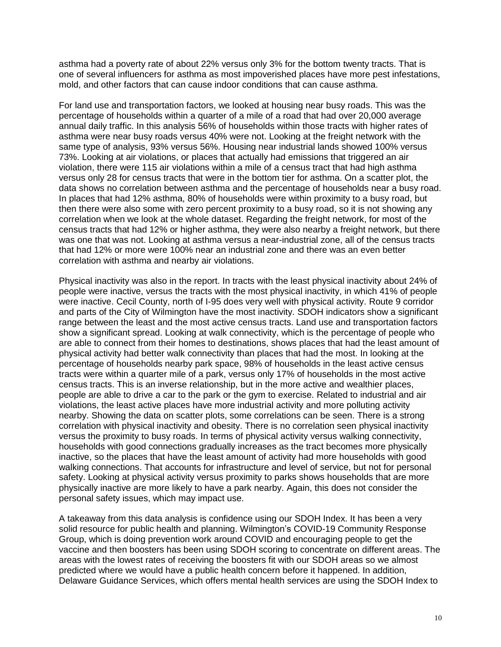asthma had a poverty rate of about 22% versus only 3% for the bottom twenty tracts. That is one of several influencers for asthma as most impoverished places have more pest infestations, mold, and other factors that can cause indoor conditions that can cause asthma.

For land use and transportation factors, we looked at housing near busy roads. This was the percentage of households within a quarter of a mile of a road that had over 20,000 average annual daily traffic. In this analysis 56% of households within those tracts with higher rates of asthma were near busy roads versus 40% were not. Looking at the freight network with the same type of analysis, 93% versus 56%. Housing near industrial lands showed 100% versus 73%. Looking at air violations, or places that actually had emissions that triggered an air violation, there were 115 air violations within a mile of a census tract that had high asthma versus only 28 for census tracts that were in the bottom tier for asthma. On a scatter plot, the data shows no correlation between asthma and the percentage of households near a busy road. In places that had 12% asthma, 80% of households were within proximity to a busy road, but then there were also some with zero percent proximity to a busy road, so it is not showing any correlation when we look at the whole dataset. Regarding the freight network, for most of the census tracts that had 12% or higher asthma, they were also nearby a freight network, but there was one that was not. Looking at asthma versus a near-industrial zone, all of the census tracts that had 12% or more were 100% near an industrial zone and there was an even better correlation with asthma and nearby air violations.

Physical inactivity was also in the report. In tracts with the least physical inactivity about 24% of people were inactive, versus the tracts with the most physical inactivity, in which 41% of people were inactive. Cecil County, north of I-95 does very well with physical activity. Route 9 corridor and parts of the City of Wilmington have the most inactivity. SDOH indicators show a significant range between the least and the most active census tracts. Land use and transportation factors show a significant spread. Looking at walk connectivity, which is the percentage of people who are able to connect from their homes to destinations, shows places that had the least amount of physical activity had better walk connectivity than places that had the most. In looking at the percentage of households nearby park space, 98% of households in the least active census tracts were within a quarter mile of a park, versus only 17% of households in the most active census tracts. This is an inverse relationship, but in the more active and wealthier places, people are able to drive a car to the park or the gym to exercise. Related to industrial and air violations, the least active places have more industrial activity and more polluting activity nearby. Showing the data on scatter plots, some correlations can be seen. There is a strong correlation with physical inactivity and obesity. There is no correlation seen physical inactivity versus the proximity to busy roads. In terms of physical activity versus walking connectivity, households with good connections gradually increases as the tract becomes more physically inactive, so the places that have the least amount of activity had more households with good walking connections. That accounts for infrastructure and level of service, but not for personal safety. Looking at physical activity versus proximity to parks shows households that are more physically inactive are more likely to have a park nearby. Again, this does not consider the personal safety issues, which may impact use.

A takeaway from this data analysis is confidence using our SDOH Index. It has been a very solid resource for public health and planning. Wilmington's COVID-19 Community Response Group, which is doing prevention work around COVID and encouraging people to get the vaccine and then boosters has been using SDOH scoring to concentrate on different areas. The areas with the lowest rates of receiving the boosters fit with our SDOH areas so we almost predicted where we would have a public health concern before it happened. In addition, Delaware Guidance Services, which offers mental health services are using the SDOH Index to